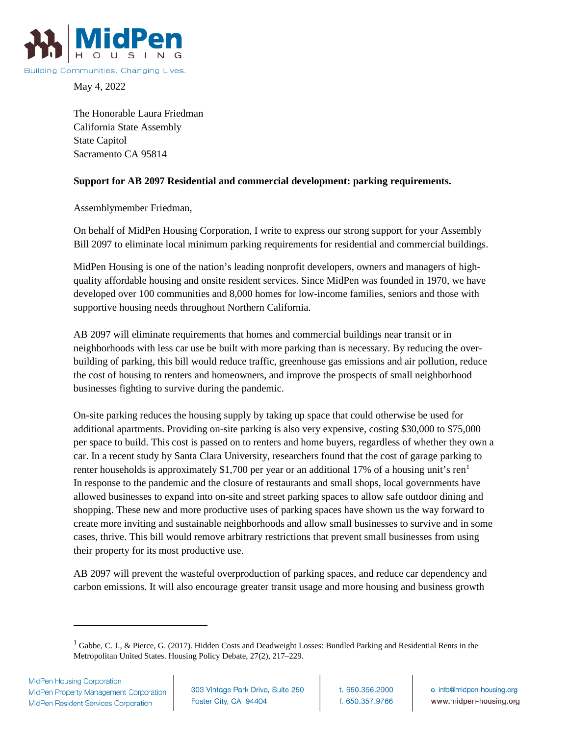

May 4, 2022

The Honorable Laura Friedman California State Assembly State Capitol Sacramento CA 95814

## **Support for AB 2097 Residential and commercial development: parking requirements.**

Assemblymember Friedman,

On behalf of MidPen Housing Corporation, I write to express our strong support for your Assembly Bill 2097 to eliminate local minimum parking requirements for residential and commercial buildings.

MidPen Housing is one of the nation's leading nonprofit developers, owners and managers of highquality affordable housing and onsite resident services. Since MidPen was founded in 1970, we have developed over 100 communities and 8,000 homes for low-income families, seniors and those with supportive housing needs throughout Northern California.

AB 2097 will eliminate requirements that homes and commercial buildings near transit or in neighborhoods with less car use be built with more parking than is necessary. By reducing the overbuilding of parking, this bill would reduce traffic, greenhouse gas emissions and air pollution, reduce the cost of housing to renters and homeowners, and improve the prospects of small neighborhood businesses fighting to survive during the pandemic.

On-site parking reduces the housing supply by taking up space that could otherwise be used for additional apartments. Providing on-site parking is also very expensive, costing \$30,000 to \$75,000 per space to build. This cost is passed on to renters and home buyers, regardless of whether they own a car. In a recent study by Santa Clara University, researchers found that the cost of garage parking to renter households is approximately \$[1](#page-0-0),700 per year or an additional 17% of a housing unit's ren<sup>1</sup> In response to the pandemic and the closure of restaurants and small shops, local governments have allowed businesses to expand into on-site and street parking spaces to allow safe outdoor dining and shopping. These new and more productive uses of parking spaces have shown us the way forward to create more inviting and sustainable neighborhoods and allow small businesses to survive and in some cases, thrive. This bill would remove arbitrary restrictions that prevent small businesses from using their property for its most productive use.

AB 2097 will prevent the wasteful overproduction of parking spaces, and reduce car dependency and carbon emissions. It will also encourage greater transit usage and more housing and business growth

<span id="page-0-0"></span><sup>&</sup>lt;sup>1</sup> Gabbe, C. J., & Pierce, G. (2017). Hidden Costs and Deadweight Losses: Bundled Parking and Residential Rents in the Metropolitan United States. Housing Policy Debate, 27(2), 217–229.